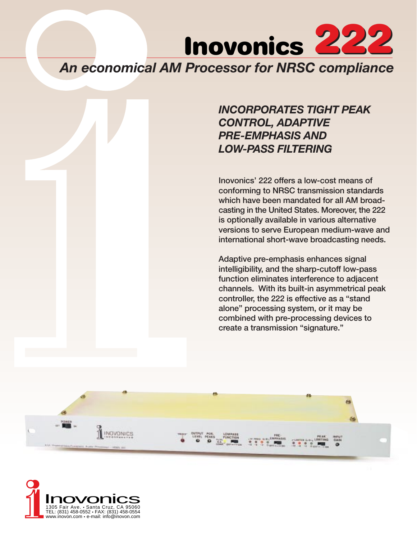

# *INCORPORATES TIGHT PEAK CONTROL, ADAPTIVE PRE-EMPHASIS AND LOW-PASS FILTERING*

Inovonics' 222 offers a low-cost means of conforming to NRSC transmission standards which have been mandated for all AM broadcasting in the United States. Moreover, the 222 is optionally available in various alternative versions to serve European medium-wave and international short-wave broadcasting needs.

Adaptive pre-emphasis enhances signal intelligibility, and the sharp-cutoff low-pass function eliminates interference to adjacent channels. With its built-in asymmetrical peak controller, the 222 is effective as a "stand alone" processing system, or it may be combined with pre-processing devices to create a transmission "signature."